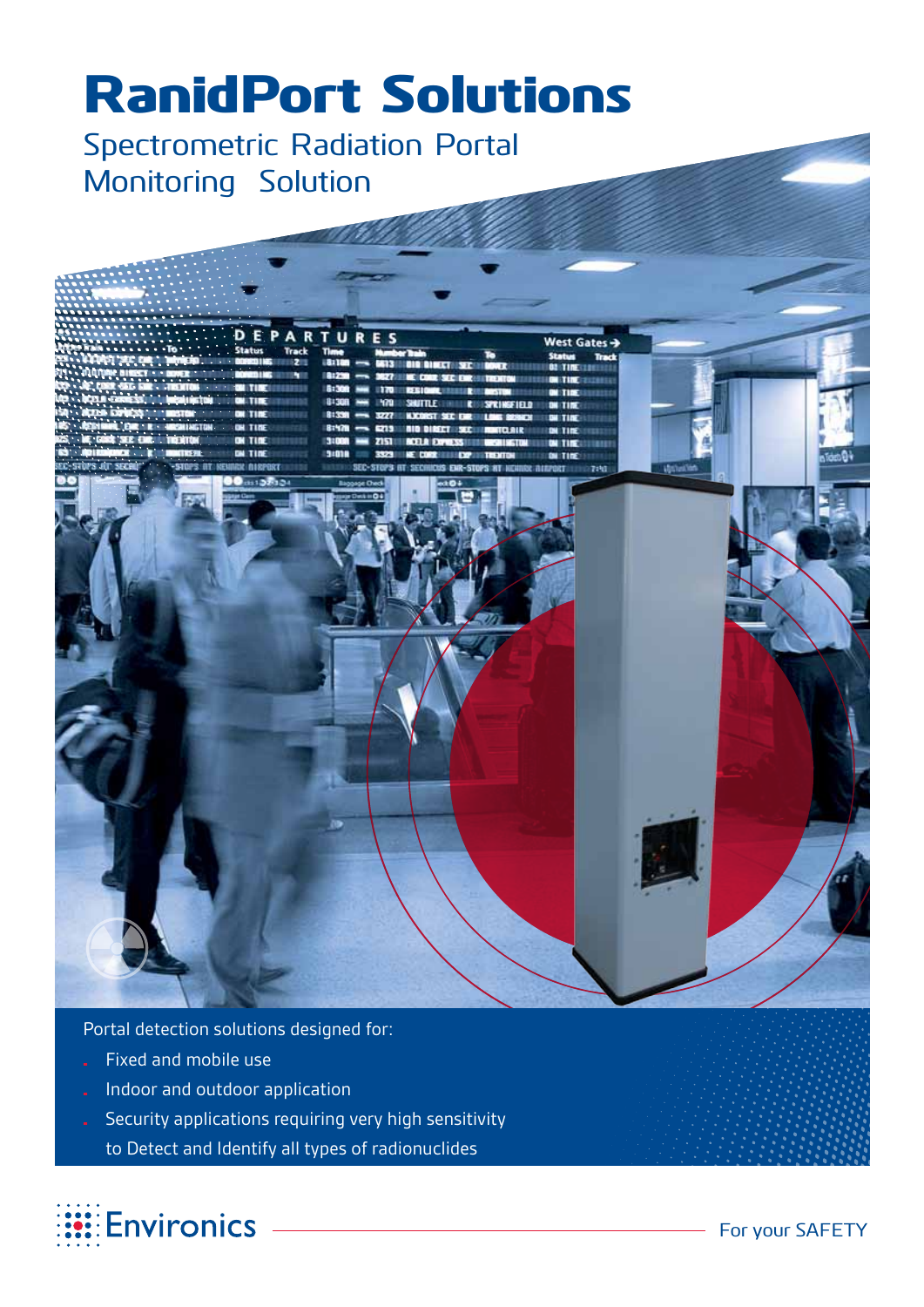# RanidPort Solutions

Spectrometric Radiation Portal Monitoring Solution

**THE REAL PROPERTY** 

| 2000<br>,,,,,                                                                                                                                                                                                                                                                       |                                                                                                                                                                                                                                                                                                                                                                                        |                           |
|-------------------------------------------------------------------------------------------------------------------------------------------------------------------------------------------------------------------------------------------------------------------------------------|----------------------------------------------------------------------------------------------------------------------------------------------------------------------------------------------------------------------------------------------------------------------------------------------------------------------------------------------------------------------------------------|---------------------------|
| DEPARTURES<br><b>.</b> .<br><b>.</b><br><b>EXAMPLE PARTICULAR AND THE CONTROL</b><br><b>EXAMPLE PARTICULAR AND STATE OF A STATE OF A STATE OF A STATE OF A STATE OF A STATE OF A STATE OF A STATE OF A STATE OF A STATE OF A STATE OF A STATE OF A STATE OF A STATE OF A STATE </b> | West Gates $\rightarrow$<br><b>Time</b><br>Number Train<br>ī.<br><b>Status</b><br><b>Track</b><br>181108<br>GATS IN OIN DIRECT SEC 1000 CONTRACTOR TINE CONTRACTO<br>81230<br><b>ISE ETHE</b><br><b>STE EXAMINENT</b><br>5:306<br>235300<br>8:308<br>SHIITLE:<br><b>SACHREIETT</b><br>81339<br>8:578<br>ais siert se<br>mau<br>3:00<br>$\mathbf{m}$<br><b>SALE SHE</b><br><b>TERES</b> |                           |
| no<br>cts1.3253.34<br>79                                                                                                                                                                                                                                                            | 3:018<br>2023<br><b>ST FIRST</b><br><b><i>SEE LEADER SEE SHOP</i></b><br>SEC-STOPS INT SECHIOUS ENR-STOPS AT NEXING BIRFORT<br>710<br><b>Baggage Check</b><br>a64<br>6004                                                                                                                                                                                                              | dasa<br><b>Uption for</b> |
|                                                                                                                                                                                                                                                                                     |                                                                                                                                                                                                                                                                                                                                                                                        |                           |
|                                                                                                                                                                                                                                                                                     | æ                                                                                                                                                                                                                                                                                                                                                                                      |                           |
|                                                                                                                                                                                                                                                                                     |                                                                                                                                                                                                                                                                                                                                                                                        |                           |

Portal detection solutions designed for:

- Fixed and mobile use
- Indoor and outdoor application
- Security applications requiring very high sensitivity
	- to Detect and Identify all types of radionuclides

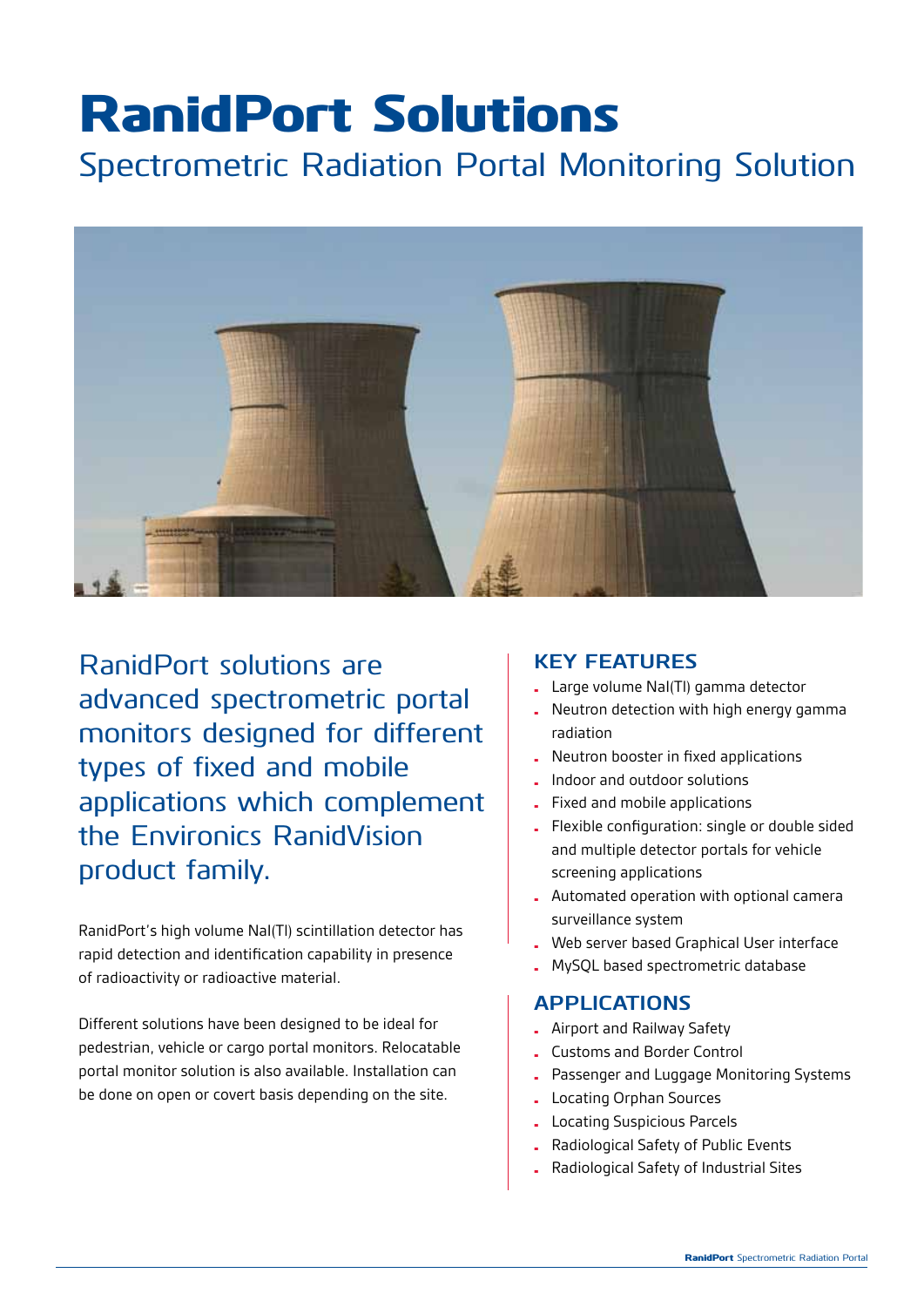# RanidPort Solutions

Spectrometric Radiation Portal Monitoring Solution



RanidPort solutions are advanced spectrometric portal monitors designed for different types of fixed and mobile applications which complement the Environics RanidVision product family.

RanidPort's high volume NaI(Tl) scintillation detector has rapid detection and identification capability in presence of radioactivity or radioactive material.

Different solutions have been designed to be ideal for pedestrian, vehicle or cargo portal monitors. Relocatable portal monitor solution is also available. Installation can be done on open or covert basis depending on the site.

#### **Key features**

- Large volume NaI(Tl) gamma detector
- Neutron detection with high energy gamma radiation
- Neutron booster in fixed applications
- Indoor and outdoor solutions
- Fixed and mobile applications
- Flexible configuration: single or double sided and multiple detector portals for vehicle screening applications
- Automated operation with optional camera surveillance system
- Web server based Graphical User interface
- MySQL based spectrometric database

#### **APPLICATIONS**

- Airport and Railway Safety
- Customs and Border Control
- Passenger and Luggage Monitoring Systems
- Locating Orphan Sources
- Locating Suspicious Parcels
- Radiological Safety of Public Events
- Radiological Safety of Industrial Sites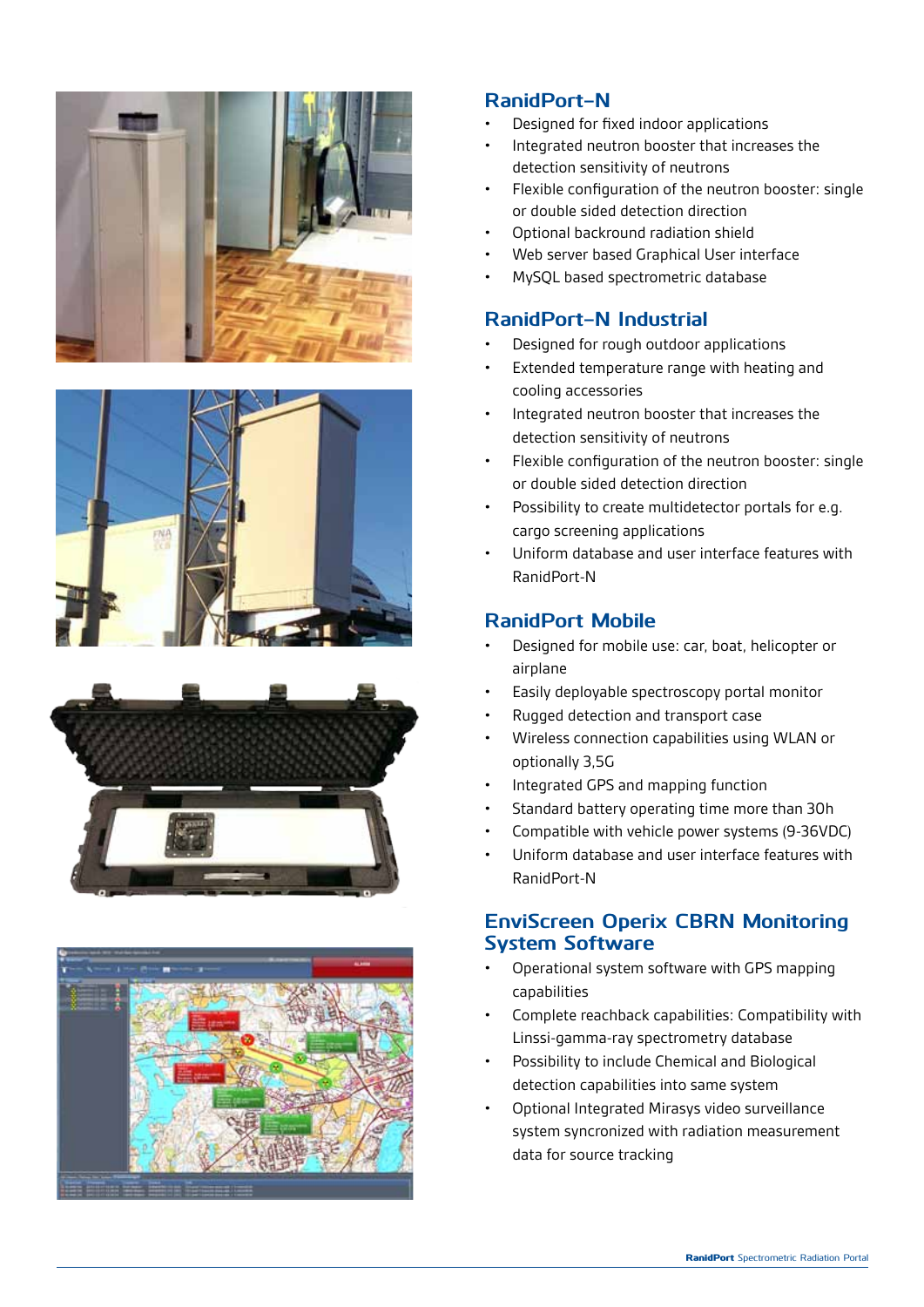







#### **RanidPort-N**

- Designed for fixed indoor applications
- Integrated neutron booster that increases the detection sensitivity of neutrons
- Flexible configuration of the neutron booster: single or double sided detection direction
- Optional backround radiation shield
- Web server based Graphical User interface
- MySQL based spectrometric database

#### **RanidPort-N Industrial**

- Designed for rough outdoor applications
- Extended temperature range with heating and cooling accessories
- Integrated neutron booster that increases the detection sensitivity of neutrons
- Flexible configuration of the neutron booster: single or double sided detection direction
- Possibility to create multidetector portals for e.g. cargo screening applications
- Uniform database and user interface features with RanidPort-N

#### **RanidPort Mobile**

- Designed for mobile use: car, boat, helicopter or airplane
- Easily deployable spectroscopy portal monitor
- Rugged detection and transport case
- Wireless connection capabilities using WLAN or optionally 3,5G
- Integrated GPS and mapping function
- Standard battery operating time more than 30h
- Compatible with vehicle power systems (9-36VDC)
- Uniform database and user interface features with RanidPort-N

#### **EnviScreen Operix CBRN Monitoring System Software**

- Operational system software with GPS mapping capabilities
- Complete reachback capabilities: Compatibility with Linssi-gamma-ray spectrometry database
- Possibility to include Chemical and Biological detection capabilities into same system
- Optional Integrated Mirasys video surveillance system syncronized with radiation measurement data for source tracking